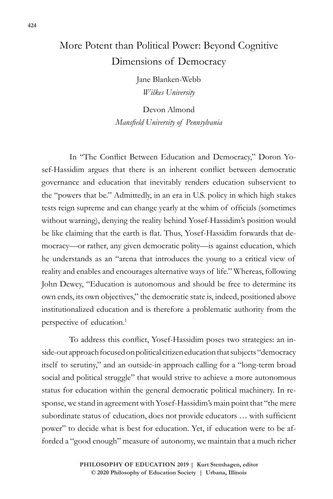## More Potent than Political Power: Beyond Cognitive Dimensions of Democracy

Jane Blanken-Webb *Wilkes University*

Devon Almond *Mansfield University of Pennsylvania*

In "The Conflict Between Education and Democracy," Doron Yosef-Hassidim argues that there is an inherent conflict between democratic governance and education that inevitably renders education subservient to the "powers that be." Admittedly, in an era in U.S. policy in which high stakes tests reign supreme and can change yearly at the whim of officials (sometimes without warning), denying the reality behind Yosef-Hassidim's position would be like claiming that the earth is flat. Thus, Yosef-Hassidim forwards that democracy—or rather, any given democratic polity—is against education, which he understands as an "arena that introduces the young to a critical view of reality and enables and encourages alternative ways of life." Whereas, following John Dewey, "Education is autonomous and should be free to determine its own ends, its own objectives," the democratic state is, indeed, positioned above institutionalized education and is therefore a problematic authority from the perspective of education.<sup>1</sup>

To address this conflict, Yosef-Hassidim poses two strategies: an inside-out approach focused on political citizen education that subjects "democracy itself to scrutiny," and an outside-in approach calling for a "long-term broad social and political struggle" that would strive to achieve a more autonomous status for education within the general democratic political machinery. In response, we stand in agreement with Yosef-Hassidim's main point that "the mere subordinate status of education, does not provide educators … with sufficient power" to decide what is best for education. Yet, if education were to be afforded a "good enough" measure of autonomy, we maintain that a much richer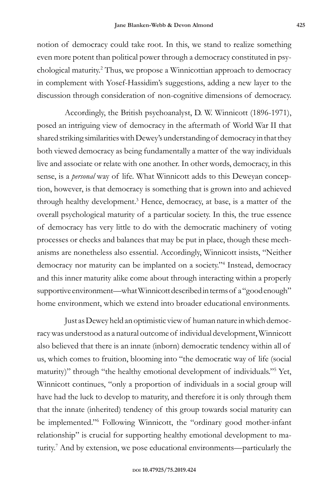notion of democracy could take root. In this, we stand to realize something even more potent than political power through a democracy constituted in psychological maturity.<sup>2</sup> Thus, we propose a Winnicottian approach to democracy in complement with Yosef-Hassidim's suggestions, adding a new layer to the discussion through consideration of non-cognitive dimensions of democracy.

Accordingly, the British psychoanalyst, D. W. Winnicott (1896-1971), posed an intriguing view of democracy in the aftermath of World War II that shared striking similarities with Dewey's understanding of democracy in that they both viewed democracy as being fundamentally a matter of the way individuals live and associate or relate with one another. In other words, democracy, in this sense, is a *personal* way of life. What Winnicott adds to this Deweyan conception, however, is that democracy is something that is grown into and achieved through healthy development.<sup>3</sup> Hence, democracy, at base, is a matter of the overall psychological maturity of a particular society. In this, the true essence of democracy has very little to do with the democratic machinery of voting processes or checks and balances that may be put in place, though these mechanisms are nonetheless also essential. Accordingly, Winnicott insists, "Neither democracy nor maturity can be implanted on a society."<sup>4</sup> Instead, democracy and this inner maturity alike come about through interacting within a properly supportive environment—what Winnicott described in terms of a "good enough" home environment, which we extend into broader educational environments.

Just as Dewey held an optimistic view of human nature in which democracy was understood as a natural outcome of individual development, Winnicott also believed that there is an innate (inborn) democratic tendency within all of us, which comes to fruition, blooming into "the democratic way of life (social maturity)" through "the healthy emotional development of individuals."<sup>5</sup> Yet, Winnicott continues, "only a proportion of individuals in a social group will have had the luck to develop to maturity, and therefore it is only through them that the innate (inherited) tendency of this group towards social maturity can be implemented."6 Following Winnicott, the "ordinary good mother-infant relationship" is crucial for supporting healthy emotional development to maturity.7 And by extension, we pose educational environments—particularly the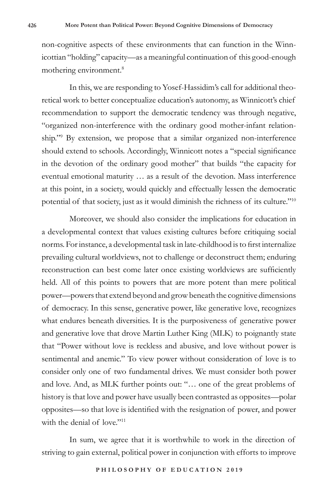non-cognitive aspects of these environments that can function in the Winnicottian "holding" capacity—as a meaningful continuation of this good-enough mothering environment.<sup>8</sup>

In this, we are responding to Yosef-Hassidim's call for additional theoretical work to better conceptualize education's autonomy, as Winnicott's chief recommendation to support the democratic tendency was through negative, "organized non-interference with the ordinary good mother-infant relationship."9 By extension, we propose that a similar organized non-interference should extend to schools. Accordingly, Winnicott notes a "special significance in the devotion of the ordinary good mother" that builds "the capacity for eventual emotional maturity … as a result of the devotion. Mass interference at this point, in a society, would quickly and effectually lessen the democratic potential of that society, just as it would diminish the richness of its culture."<sup>10</sup>

Moreover, we should also consider the implications for education in a developmental context that values existing cultures before critiquing social norms. For instance, a developmental task in late-childhood is to first internalize prevailing cultural worldviews, not to challenge or deconstruct them; enduring reconstruction can best come later once existing worldviews are sufficiently held. All of this points to powers that are more potent than mere political power—powers that extend beyond and grow beneath the cognitive dimensions of democracy. In this sense, generative power, like generative love, recognizes what endures beneath diversities. It is the purposiveness of generative power and generative love that drove Martin Luther King (MLK) to poignantly state that "Power without love is reckless and abusive, and love without power is sentimental and anemic." To view power without consideration of love is to consider only one of two fundamental drives. We must consider both power and love. And, as MLK further points out: "… one of the great problems of history is that love and power have usually been contrasted as opposites—polar opposites—so that love is identified with the resignation of power, and power with the denial of love."<sup>11</sup>

In sum, we agree that it is worthwhile to work in the direction of striving to gain external, political power in conjunction with efforts to improve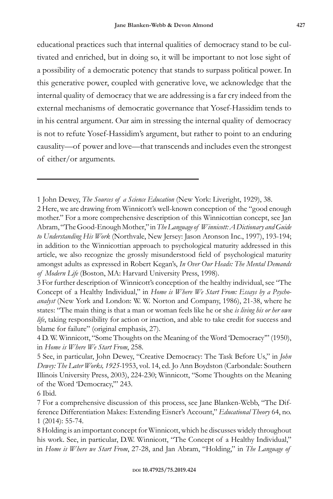educational practices such that internal qualities of democracy stand to be cultivated and enriched, but in doing so, it will be important to not lose sight of a possibility of a democratic potency that stands to surpass political power. In this generative power, coupled with generative love, we acknowledge that the internal quality of democracy that we are addressing is a far cry indeed from the external mechanisms of democratic governance that Yosef-Hassidim tends to in his central argument. Our aim in stressing the internal quality of democracy is not to refute Yosef-Hassidim's argument, but rather to point to an enduring causality—of power and love—that transcends and includes even the strongest of either/or arguments.

6 Ibid.

<sup>1</sup> John Dewey, *The Sources of a Science Education* (New York: Liveright, 1929), 38.

<sup>2</sup> Here, we are drawing from Winnicott's well-known conception of the "good enough mother." For a more comprehensive description of this Winnicottian concept, see Jan Abram, "The Good-Enough Mother," in *The Language of Winnicott: A Dictionary and Guide to Understanding His Work* (Northvale, New Jersey: Jason Aronson Inc., 1997), 193-194; in addition to the Winnicottian approach to psychological maturity addressed in this article, we also recognize the grossly misunderstood field of psychological maturity amongst adults as expressed in Robert Kegan's, *In Over Our Heads: The Mental Demands of Modern Life* (Boston, MA: Harvard University Press, 1998).

<sup>3</sup> For further description of Winnicott's conception of the healthy individual, see "The Concept of a Healthy Individual," in *Home is Where We Start From: Essays by a Psychoanalyst* (New York and London: W. W. Norton and Company, 1986), 21-38, where he states: "The main thing is that a man or woman feels like he or she *is living his or her own life*, taking responsibility for action or inaction, and able to take credit for success and blame for failure" (original emphasis, 27).

<sup>4</sup> D. W. Winnicott, "Some Thoughts on the Meaning of the Word 'Democracy'" (1950), in *Home is Where We Start From*, 258.

<sup>5</sup> See, in particular, John Dewey, "Creative Democracy: The Task Before Us," in *John Dewey: The Later Works, 1925-*1953, vol. 14, ed. Jo Ann Boydston (Carbondale: Southern Illinois University Press, 2003), 224-230; Winnicott, "Some Thoughts on the Meaning of the Word 'Democracy,'" 243.

<sup>7</sup> For a comprehensive discussion of this process, see Jane Blanken-Webb, "The Difference Differentiation Makes: Extending Eisner's Account," *Educational Theory* 64, no. 1 (2014): 55-74.

<sup>8</sup> Holding is an important concept for Winnicott, which he discusses widely throughout his work. See, in particular, D.W. Winnicott, "The Concept of a Healthy Individual," in *Home is Where we Start From*, 27-28, and Jan Abram, "Holding," in *The Language of*